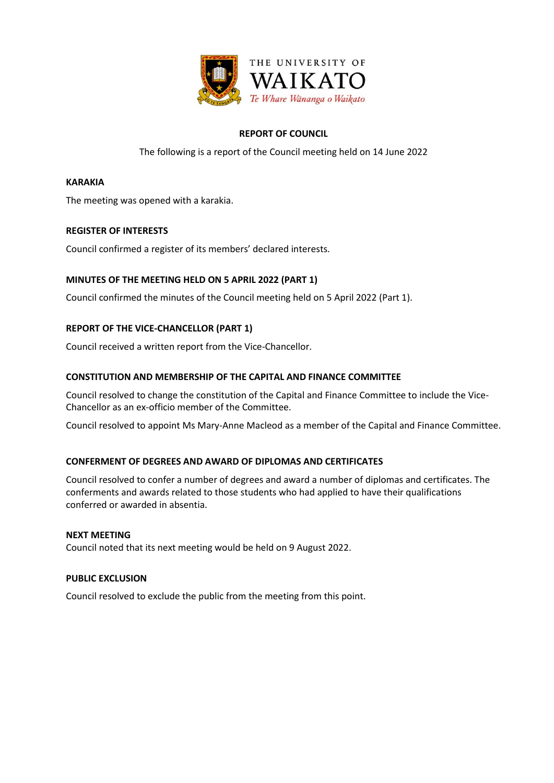

# **REPORT OF COUNCIL**

The following is a report of the Council meeting held on 14 June 2022

#### **KARAKIA**

The meeting was opened with a karakia.

# **REGISTER OF INTERESTS**

Council confirmed a register of its members' declared interests.

# **MINUTES OF THE MEETING HELD ON 5 APRIL 2022 (PART 1)**

Council confirmed the minutes of the Council meeting held on 5 April 2022 (Part 1).

# **REPORT OF THE VICE-CHANCELLOR (PART 1)**

Council received a written report from the Vice-Chancellor.

# **CONSTITUTION AND MEMBERSHIP OF THE CAPITAL AND FINANCE COMMITTEE**

Council resolved to change the constitution of the Capital and Finance Committee to include the Vice-Chancellor as an ex-officio member of the Committee.

Council resolved to appoint Ms Mary-Anne Macleod as a member of the Capital and Finance Committee.

#### **CONFERMENT OF DEGREES AND AWARD OF DIPLOMAS AND CERTIFICATES**

Council resolved to confer a number of degrees and award a number of diplomas and certificates. The conferments and awards related to those students who had applied to have their qualifications conferred or awarded in absentia.

#### **NEXT MEETING**

Council noted that its next meeting would be held on 9 August 2022.

#### **PUBLIC EXCLUSION**

Council resolved to exclude the public from the meeting from this point.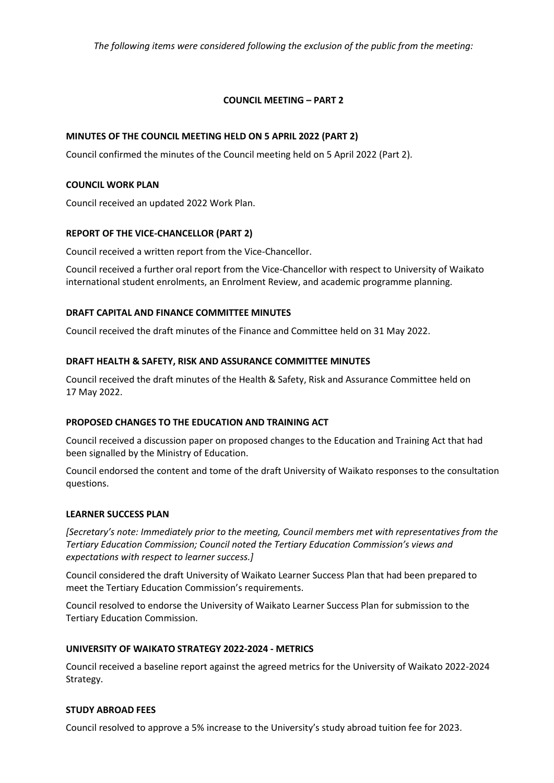*The following items were considered following the exclusion of the public from the meeting:*

# **COUNCIL MEETING – PART 2**

# **MINUTES OF THE COUNCIL MEETING HELD ON 5 APRIL 2022 (PART 2)**

Council confirmed the minutes of the Council meeting held on 5 April 2022 (Part 2).

### **COUNCIL WORK PLAN**

Council received an updated 2022 Work Plan.

# **REPORT OF THE VICE-CHANCELLOR (PART 2)**

Council received a written report from the Vice-Chancellor.

Council received a further oral report from the Vice-Chancellor with respect to University of Waikato international student enrolments, an Enrolment Review, and academic programme planning.

# **DRAFT CAPITAL AND FINANCE COMMITTEE MINUTES**

Council received the draft minutes of the Finance and Committee held on 31 May 2022.

# **DRAFT HEALTH & SAFETY, RISK AND ASSURANCE COMMITTEE MINUTES**

Council received the draft minutes of the Health & Safety, Risk and Assurance Committee held on 17 May 2022.

#### **PROPOSED CHANGES TO THE EDUCATION AND TRAINING ACT**

Council received a discussion paper on proposed changes to the Education and Training Act that had been signalled by the Ministry of Education.

Council endorsed the content and tome of the draft University of Waikato responses to the consultation questions.

#### **LEARNER SUCCESS PLAN**

*[Secretary's note: Immediately prior to the meeting, Council members met with representatives from the Tertiary Education Commission; Council noted the Tertiary Education Commission's views and expectations with respect to learner success.]*

Council considered the draft University of Waikato Learner Success Plan that had been prepared to meet the Tertiary Education Commission's requirements.

Council resolved to endorse the University of Waikato Learner Success Plan for submission to the Tertiary Education Commission.

#### **UNIVERSITY OF WAIKATO STRATEGY 2022-2024 - METRICS**

Council received a baseline report against the agreed metrics for the University of Waikato 2022-2024 Strategy.

#### **STUDY ABROAD FEES**

Council resolved to approve a 5% increase to the University's study abroad tuition fee for 2023.